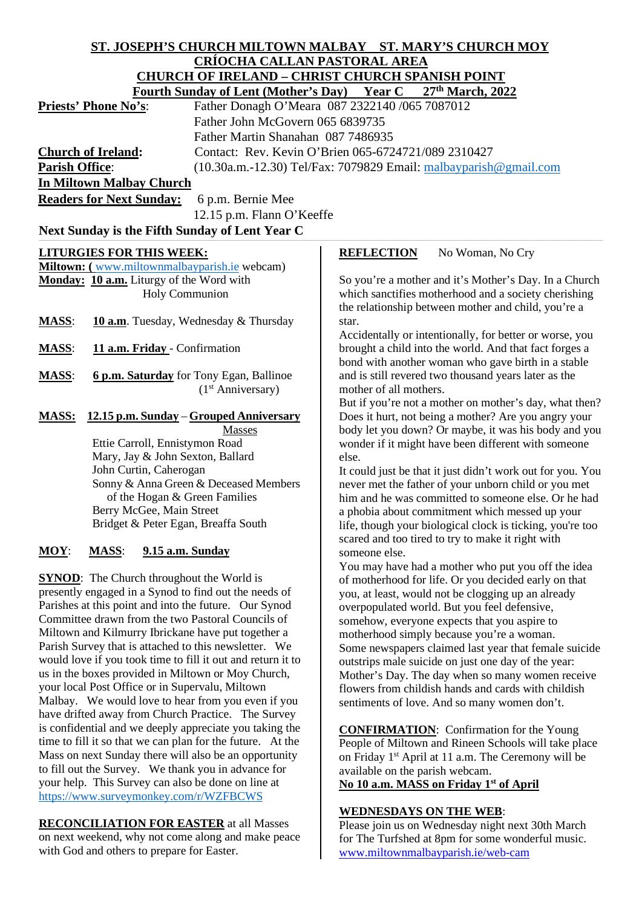# **ST. JOSEPH'S CHURCH MILTOWN MALBAY ST. MARY'S CHURCH MOY CRÍOCHA CALLAN PASTORAL AREA CHURCH OF IRELAND – CHRIST CHURCH SPANISH POINT**

|                       | Fourth Sunday of Lent (Mother's Day) Year C          | $27th$ March, 2022                                                     |
|-----------------------|------------------------------------------------------|------------------------------------------------------------------------|
|                       | <b>Priests' Phone No's:</b>                          | Father Donagh O'Meara 087 2322140 /065 7087012                         |
|                       | Father John McGovern 065 6839735                     |                                                                        |
|                       | Father Martin Shanahan 087 7486935                   |                                                                        |
|                       | <b>Church of Ireland:</b>                            | Contact: Rev. Kevin O'Brien 065-6724721/089 2310427                    |
| <b>Parish Office:</b> |                                                      | $(10.30a.m.-12.30)$ Tel/Fax: 7079829 Email: $m$ albayparish @gmail.com |
|                       | <b>In Miltown Malbay Church</b>                      |                                                                        |
|                       | <b>Readers for Next Sunday:</b><br>6 p.m. Bernie Mee |                                                                        |
|                       | 12.15 p.m. Flann O'Keeffe                            |                                                                        |
|                       | Next Sunday is the Fifth Sunday of Lent Year C       |                                                                        |
|                       | <b>LITURGIES FOR THIS WEEK:</b>                      | <b>REFLECTION</b><br>No Woman, No Cry                                  |
|                       | <b>Miltown:</b> (www.miltownmalbayparish.ie webcam)  |                                                                        |
|                       | Monday: 10 a.m. Liturgy of the Word with             | So you're a mother and it's Mother's Day. In a Church                  |
|                       | Holy Communion                                       | which sanctifies motherhood and a society cherishing                   |
|                       |                                                      | the relationship between mother and child, you're a                    |
| <b>MASS:</b>          | <b>10 a.m.</b> Tuesday, Wednesday & Thursday         | star.<br>Accidentally or intentionally, for better or worse, you       |
| <b>MASS:</b>          | 11 a.m. Friday - Confirmation                        | brought a child into the world. And that fact forges a                 |
|                       |                                                      | bond with another woman who gave birth in a stable                     |
| <b>MASS:</b>          | <b>6 p.m. Saturday</b> for Tony Egan, Ballinoe       | and is still revered two thousand years later as the                   |
|                       | (1 <sup>st</sup> Anniversary)                        | mother of all mothers.                                                 |
|                       |                                                      | But if you're not a mother on mother's day, what then?                 |

## **MASS: 12.15 p.m. Sunday** – **Grouped Anniversary**

 Masses Ettie Carroll, Ennistymon Road Mary, Jay & John Sexton, Ballard John Curtin, Caherogan Sonny & Anna Green & Deceased Members of the Hogan & Green Families Berry McGee, Main Street Bridget & Peter Egan, Breaffa South

## **MOY**: **MASS**: **9.15 a.m. Sunday**

**SYNOD**: The Church throughout the World is presently engaged in a Synod to find out the needs of Parishes at this point and into the future. Our Synod Committee drawn from the two Pastoral Councils of Miltown and Kilmurry Ibrickane have put together a Parish Survey that is attached to this newsletter. We would love if you took time to fill it out and return it to us in the boxes provided in Miltown or Moy Church, your local Post Office or in Supervalu, Miltown Malbay. We would love to hear from you even if you have drifted away from Church Practice. The Survey is confidential and we deeply appreciate you taking the time to fill it so that we can plan for the future. At the Mass on next Sunday there will also be an opportunity to fill out the Survey. We thank you in advance for your help. This Survey can also be done on line at <https://www.surveymonkey.com/r/WZFBCWS>

**RECONCILIATION FOR EASTER** at all Masses on next weekend, why not come along and make peace with God and others to prepare for Easter.

## But if you're not a mother on mother's day, what then? Does it hurt, not being a mother? Are you angry your body let you down? Or maybe, it was his body and you wonder if it might have been different with someone else.

It could just be that it just didn't work out for you. You never met the father of your unborn child or you met him and he was committed to someone else. Or he had a phobia about commitment which messed up your life, though your biological clock is ticking, you're too scared and too tired to try to make it right with someone else.

You may have had a mother who put you off the idea of motherhood for life. Or you decided early on that you, at least, would not be clogging up an already overpopulated world. But you feel defensive, somehow, everyone expects that you aspire to motherhood simply because you're a woman. Some newspapers claimed last year that female suicide outstrips male suicide on just one day of the year: Mother's Day. The day when so many women receive flowers from childish hands and cards with childish sentiments of love. And so many women don't.

**CONFIRMATION**: Confirmation for the Young People of Miltown and Rineen Schools will take place on Friday 1st April at 11 a.m. The Ceremony will be available on the parish webcam. **No 10 a.m. MASS on Friday 1st of April**

## **WEDNESDAYS ON THE WEB**:

Please join us on Wednesday night next 30th March for The Turfshed at 8pm for some wonderful music. [www.miltownmalbayparish.ie/web-cam](http://www.miltownmalbayparish.ie/web-cam)